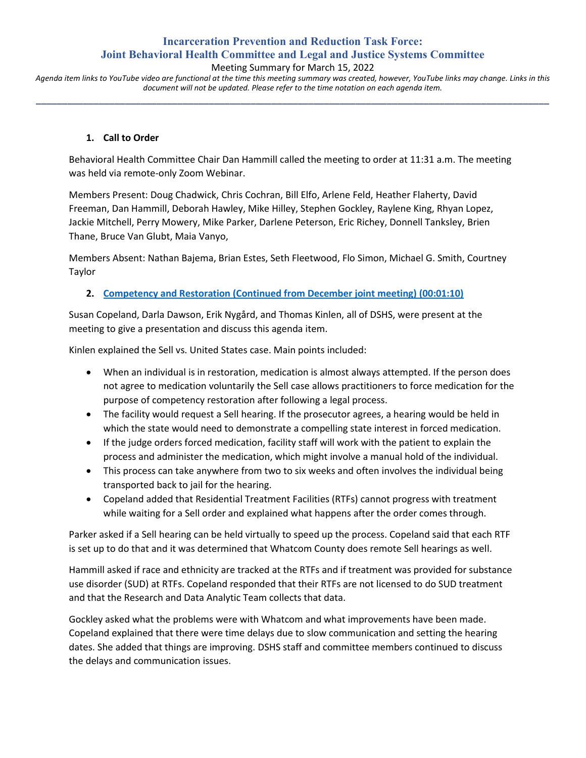# **Incarceration Prevention and Reduction Task Force: Joint Behavioral Health Committee and Legal and Justice Systems Committee**

#### Meeting Summary for March 15, 2022

*Agenda item links to YouTube video are functional at the time this meeting summary was created, however, YouTube links may change. Links in this document will not be updated. Please refer to the time notation on each agenda item.* **\_\_\_\_\_\_\_\_\_\_\_\_\_\_\_\_\_\_\_\_\_\_\_\_\_\_\_\_\_\_\_\_\_\_\_\_\_\_\_\_\_\_\_\_\_\_\_\_\_\_\_\_\_\_\_\_\_\_\_\_\_\_\_\_\_\_\_\_\_\_\_\_\_\_\_\_\_\_\_\_\_\_\_\_\_\_\_\_\_\_\_\_\_\_\_\_\_\_**

#### **1. Call to Order**

Behavioral Health Committee Chair Dan Hammill called the meeting to order at 11:31 a.m. The meeting was held via remote-only Zoom Webinar.

Members Present: Doug Chadwick, Chris Cochran, Bill Elfo, Arlene Feld, Heather Flaherty, David Freeman, Dan Hammill, Deborah Hawley, Mike Hilley, Stephen Gockley, Raylene King, Rhyan Lopez, Jackie Mitchell, Perry Mowery, Mike Parker, Darlene Peterson, Eric Richey, Donnell Tanksley, Brien Thane, Bruce Van Glubt, Maia Vanyo,

Members Absent: Nathan Bajema, Brian Estes, Seth Fleetwood, Flo Simon, Michael G. Smith, Courtney Taylor

# **2. [Competency and Restoration \(Continued from December joint meeting\)](https://www.youtube.com/watch?v=yDNsVUgh1AA&t=70s) (00:01:10)**

Susan Copeland, Darla Dawson, Erik Nygård, and Thomas Kinlen, all of DSHS, were present at the meeting to give a presentation and discuss this agenda item.

Kinlen explained the Sell vs. United States case. Main points included:

- When an individual is in restoration, medication is almost always attempted. If the person does not agree to medication voluntarily the Sell case allows practitioners to force medication for the purpose of competency restoration after following a legal process.
- The facility would request a Sell hearing. If the prosecutor agrees, a hearing would be held in which the state would need to demonstrate a compelling state interest in forced medication.
- If the judge orders forced medication, facility staff will work with the patient to explain the process and administer the medication, which might involve a manual hold of the individual.
- This process can take anywhere from two to six weeks and often involves the individual being transported back to jail for the hearing.
- Copeland added that Residential Treatment Facilities (RTFs) cannot progress with treatment while waiting for a Sell order and explained what happens after the order comes through.

Parker asked if a Sell hearing can be held virtually to speed up the process. Copeland said that each RTF is set up to do that and it was determined that Whatcom County does remote Sell hearings as well.

Hammill asked if race and ethnicity are tracked at the RTFs and if treatment was provided for substance use disorder (SUD) at RTFs. Copeland responded that their RTFs are not licensed to do SUD treatment and that the Research and Data Analytic Team collects that data.

Gockley asked what the problems were with Whatcom and what improvements have been made. Copeland explained that there were time delays due to slow communication and setting the hearing dates. She added that things are improving. DSHS staff and committee members continued to discuss the delays and communication issues.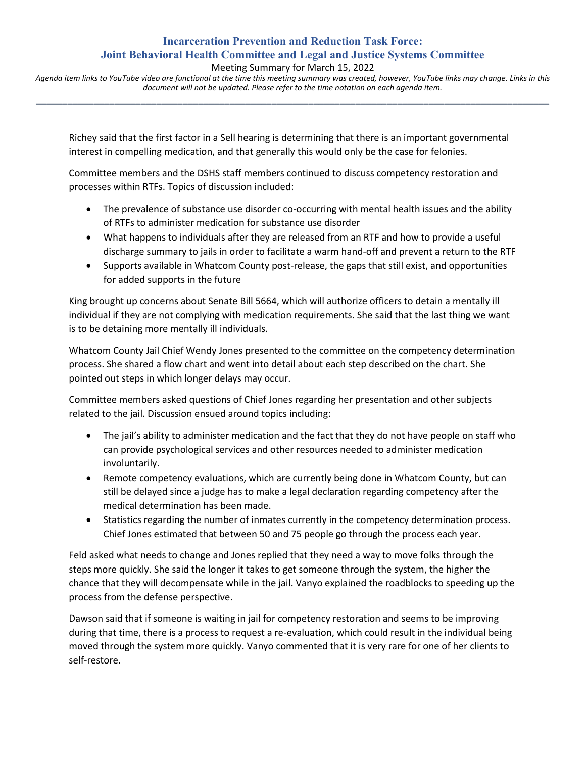# **Incarceration Prevention and Reduction Task Force: Joint Behavioral Health Committee and Legal and Justice Systems Committee**

Meeting Summary for March 15, 2022

*Agenda item links to YouTube video are functional at the time this meeting summary was created, however, YouTube links may change. Links in this document will not be updated. Please refer to the time notation on each agenda item.* **\_\_\_\_\_\_\_\_\_\_\_\_\_\_\_\_\_\_\_\_\_\_\_\_\_\_\_\_\_\_\_\_\_\_\_\_\_\_\_\_\_\_\_\_\_\_\_\_\_\_\_\_\_\_\_\_\_\_\_\_\_\_\_\_\_\_\_\_\_\_\_\_\_\_\_\_\_\_\_\_\_\_\_\_\_\_\_\_\_\_\_\_\_\_\_\_\_\_**

Richey said that the first factor in a Sell hearing is determining that there is an important governmental interest in compelling medication, and that generally this would only be the case for felonies.

Committee members and the DSHS staff members continued to discuss competency restoration and processes within RTFs. Topics of discussion included:

- The prevalence of substance use disorder co-occurring with mental health issues and the ability of RTFs to administer medication for substance use disorder
- What happens to individuals after they are released from an RTF and how to provide a useful discharge summary to jails in order to facilitate a warm hand-off and prevent a return to the RTF
- Supports available in Whatcom County post-release, the gaps that still exist, and opportunities for added supports in the future

King brought up concerns about Senate Bill 5664, which will authorize officers to detain a mentally ill individual if they are not complying with medication requirements. She said that the last thing we want is to be detaining more mentally ill individuals.

Whatcom County Jail Chief Wendy Jones presented to the committee on the competency determination process. She shared a flow chart and went into detail about each step described on the chart. She pointed out steps in which longer delays may occur.

Committee members asked questions of Chief Jones regarding her presentation and other subjects related to the jail. Discussion ensued around topics including:

- The jail's ability to administer medication and the fact that they do not have people on staff who can provide psychological services and other resources needed to administer medication involuntarily.
- Remote competency evaluations, which are currently being done in Whatcom County, but can still be delayed since a judge has to make a legal declaration regarding competency after the medical determination has been made.
- Statistics regarding the number of inmates currently in the competency determination process. Chief Jones estimated that between 50 and 75 people go through the process each year.

Feld asked what needs to change and Jones replied that they need a way to move folks through the steps more quickly. She said the longer it takes to get someone through the system, the higher the chance that they will decompensate while in the jail. Vanyo explained the roadblocks to speeding up the process from the defense perspective.

Dawson said that if someone is waiting in jail for competency restoration and seems to be improving during that time, there is a process to request a re-evaluation, which could result in the individual being moved through the system more quickly. Vanyo commented that it is very rare for one of her clients to self-restore.